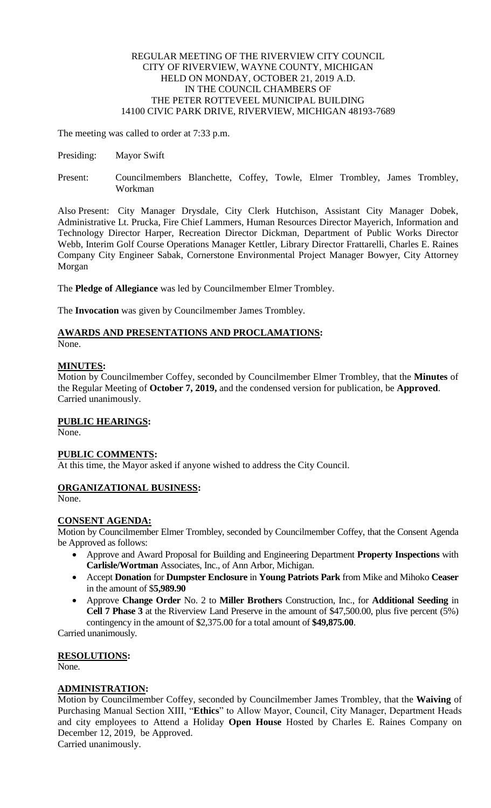#### REGULAR MEETING OF THE RIVERVIEW CITY COUNCIL CITY OF RIVERVIEW, WAYNE COUNTY, MICHIGAN HELD ON MONDAY, OCTOBER 21, 2019 A.D. IN THE COUNCIL CHAMBERS OF THE PETER ROTTEVEEL MUNICIPAL BUILDING 14100 CIVIC PARK DRIVE, RIVERVIEW, MICHIGAN 48193-7689

The meeting was called to order at 7:33 p.m.

- Presiding: Mayor Swift
- Present: Councilmembers Blanchette, Coffey, Towle, Elmer Trombley, James Trombley, Workman

Also Present: City Manager Drysdale, City Clerk Hutchison, Assistant City Manager Dobek, Administrative Lt. Prucka, Fire Chief Lammers, Human Resources Director Mayerich, Information and Technology Director Harper, Recreation Director Dickman, Department of Public Works Director Webb, Interim Golf Course Operations Manager Kettler, Library Director Frattarelli, Charles E. Raines Company City Engineer Sabak, Cornerstone Environmental Project Manager Bowyer, City Attorney Morgan

The **Pledge of Allegiance** was led by Councilmember Elmer Trombley.

The **Invocation** was given by Councilmember James Trombley.

#### **AWARDS AND PRESENTATIONS AND PROCLAMATIONS:** None.

## **MINUTES:**

Motion by Councilmember Coffey, seconded by Councilmember Elmer Trombley, that the **Minutes** of the Regular Meeting of **October 7, 2019,** and the condensed version for publication, be **Approved**. Carried unanimously.

## **PUBLIC HEARINGS:**

None.

## **PUBLIC COMMENTS:**

At this time, the Mayor asked if anyone wished to address the City Council.

## **ORGANIZATIONAL BUSINESS:**

None.

## **CONSENT AGENDA:**

Motion by Councilmember Elmer Trombley, seconded by Councilmember Coffey, that the Consent Agenda be Approved as follows:

- Approve and Award Proposal for Building and Engineering Department **Property Inspections** with **Carlisle/Wortman** Associates, Inc., of Ann Arbor, Michigan.
- Accept **Donation** for **Dumpster Enclosure** in **Young Patriots Park** from Mike and Mihoko **Ceaser**  in the amount of \$**5,989.90**
- Approve **Change Order** No. 2 to **Miller Brothers** Construction, Inc., for **Additional Seeding** in **Cell 7 Phase 3** at the Riverview Land Preserve in the amount of \$47,500.00, plus five percent (5%) contingency in the amount of \$2,375.00 for a total amount of **\$49,875.00**.

Carried unanimously.

## **RESOLUTIONS:**

None.

## **ADMINISTRATION:**

Motion by Councilmember Coffey, seconded by Councilmember James Trombley, that the **Waiving** of Purchasing Manual Section XIII, "**Ethics**" to Allow Mayor, Council, City Manager, Department Heads and city employees to Attend a Holiday **Open House** Hosted by Charles E. Raines Company on December 12, 2019, be Approved.

Carried unanimously.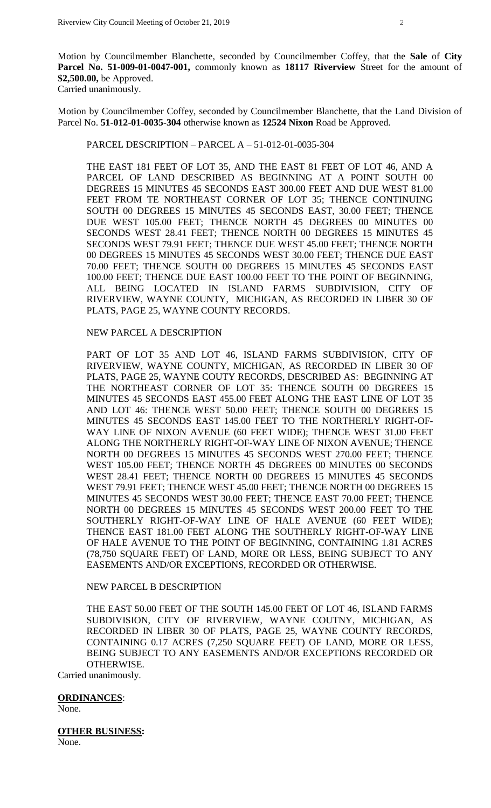Motion by Councilmember Blanchette, seconded by Councilmember Coffey, that the **Sale** of **City Parcel No. 51-009-01-0047-001,** commonly known as **18117 Riverview** Street for the amount of **\$2,500.00,** be Approved. Carried unanimously.

Motion by Councilmember Coffey, seconded by Councilmember Blanchette, that the Land Division of Parcel No. **51-012-01-0035-304** otherwise known as **12524 Nixon** Road be Approved.

#### PARCEL DESCRIPTION – PARCEL A – 51-012-01-0035-304

THE EAST 181 FEET OF LOT 35, AND THE EAST 81 FEET OF LOT 46, AND A PARCEL OF LAND DESCRIBED AS BEGINNING AT A POINT SOUTH 00 DEGREES 15 MINUTES 45 SECONDS EAST 300.00 FEET AND DUE WEST 81.00 FEET FROM TE NORTHEAST CORNER OF LOT 35; THENCE CONTINUING SOUTH 00 DEGREES 15 MINUTES 45 SECONDS EAST, 30.00 FEET; THENCE DUE WEST 105.00 FEET; THENCE NORTH 45 DEGREES 00 MINUTES 00 SECONDS WEST 28.41 FEET; THENCE NORTH 00 DEGREES 15 MINUTES 45 SECONDS WEST 79.91 FEET; THENCE DUE WEST 45.00 FEET; THENCE NORTH 00 DEGREES 15 MINUTES 45 SECONDS WEST 30.00 FEET; THENCE DUE EAST 70.00 FEET; THENCE SOUTH 00 DEGREES 15 MINUTES 45 SECONDS EAST 100.00 FEET; THENCE DUE EAST 100.00 FEET TO THE POINT OF BEGINNING, ALL BEING LOCATED IN ISLAND FARMS SUBDIVISION, CITY OF RIVERVIEW, WAYNE COUNTY, MICHIGAN, AS RECORDED IN LIBER 30 OF PLATS, PAGE 25, WAYNE COUNTY RECORDS.

#### NEW PARCEL A DESCRIPTION

PART OF LOT 35 AND LOT 46, ISLAND FARMS SUBDIVISION, CITY OF RIVERVIEW, WAYNE COUNTY, MICHIGAN, AS RECORDED IN LIBER 30 OF PLATS, PAGE 25, WAYNE COUTY RECORDS, DESCRIBED AS: BEGINNING AT THE NORTHEAST CORNER OF LOT 35: THENCE SOUTH 00 DEGREES 15 MINUTES 45 SECONDS EAST 455.00 FEET ALONG THE EAST LINE OF LOT 35 AND LOT 46: THENCE WEST 50.00 FEET; THENCE SOUTH 00 DEGREES 15 MINUTES 45 SECONDS EAST 145.00 FEET TO THE NORTHERLY RIGHT-OF-WAY LINE OF NIXON AVENUE (60 FEET WIDE); THENCE WEST 31.00 FEET ALONG THE NORTHERLY RIGHT-OF-WAY LINE OF NIXON AVENUE; THENCE NORTH 00 DEGREES 15 MINUTES 45 SECONDS WEST 270.00 FEET; THENCE WEST 105.00 FEET; THENCE NORTH 45 DEGREES 00 MINUTES 00 SECONDS WEST 28.41 FEET; THENCE NORTH 00 DEGREES 15 MINUTES 45 SECONDS WEST 79.91 FEET; THENCE WEST 45.00 FEET; THENCE NORTH 00 DEGREES 15 MINUTES 45 SECONDS WEST 30.00 FEET; THENCE EAST 70.00 FEET; THENCE NORTH 00 DEGREES 15 MINUTES 45 SECONDS WEST 200.00 FEET TO THE SOUTHERLY RIGHT-OF-WAY LINE OF HALE AVENUE (60 FEET WIDE); THENCE EAST 181.00 FEET ALONG THE SOUTHERLY RIGHT-OF-WAY LINE OF HALE AVENUE TO THE POINT OF BEGINNING, CONTAINING 1.81 ACRES (78,750 SQUARE FEET) OF LAND, MORE OR LESS, BEING SUBJECT TO ANY EASEMENTS AND/OR EXCEPTIONS, RECORDED OR OTHERWISE.

#### NEW PARCEL B DESCRIPTION

THE EAST 50.00 FEET OF THE SOUTH 145.00 FEET OF LOT 46, ISLAND FARMS SUBDIVISION, CITY OF RIVERVIEW, WAYNE COUTNY, MICHIGAN, AS RECORDED IN LIBER 30 OF PLATS, PAGE 25, WAYNE COUNTY RECORDS, CONTAINING 0.17 ACRES (7,250 SQUARE FEET) OF LAND, MORE OR LESS, BEING SUBJECT TO ANY EASEMENTS AND/OR EXCEPTIONS RECORDED OR OTHERWISE.

Carried unanimously.

#### **ORDINANCES**:

None.

**OTHER BUSINESS:** None.